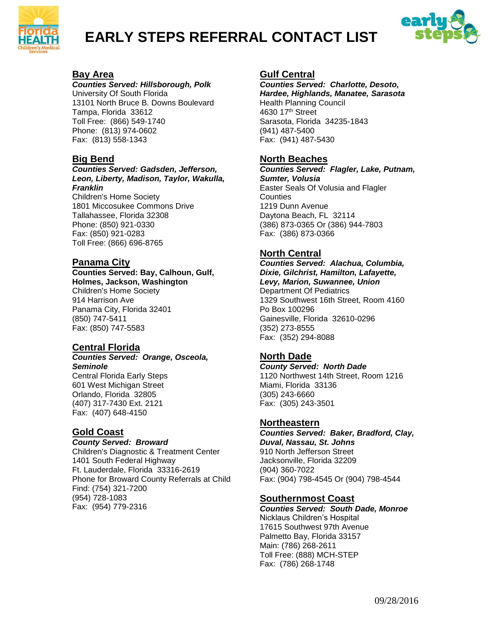

# **EARLY STEPS REFERRAL CONTACT LIST**



#### **Bay Area**

*Counties Served: Hillsborough, Polk* University Of South Florida 13101 North Bruce B. Downs Boulevard Tampa, Florida 33612 Toll Free: (866) 549-1740 Phone: (813) 974-0602

# **Big Bend**

Fax: (813) 558-1343

#### *Counties Served: Gadsden, Jefferson, Leon, Liberty, Madison, Taylor, Wakulla, Franklin*

Children's Home Society 1801 Miccosukee Commons Drive Tallahassee, Florida 32308 Phone: (850) 921-0330 Fax: (850) 921-0283 Toll Free: (866) 696-8765

#### **Panama City**

#### **Counties Served: Bay, Calhoun, Gulf, Holmes, Jackson, Washington**  Children's Home Society 914 Harrison Ave Panama City, Florida 32401 (850) 747-5411 Fax: (850) 747-5583

# **Central Florida**

#### *Counties Served: Orange, Osceola, Seminole*

Central Florida Early Steps 601 West Michigan Street Orlando, Florida 32805 (407) 317-7430 Ext. 2121 Fax: (407) 648-4150

# **Gold Coast**

#### *County Served: Broward*

Children's Diagnostic & Treatment Center 1401 South Federal Highway Ft. Lauderdale, Florida 33316-2619 Phone for Broward County Referrals at Child Find: (754) 321-7200 (954) 728-1083 Fax: (954) 779-2316

# **Gulf Central**

*Counties Served: Charlotte, Desoto, Hardee, Highlands, Manatee, Sarasota* Health Planning Council 4630 17th Street Sarasota, Florida 34235-1843 (941) 487-5400 Fax: (941) 487-5430

#### **North Beaches**

*Counties Served: Flagler, Lake, Putnam, Sumter, Volusia* Easter Seals Of Volusia and Flagler **Counties** 1219 Dunn Avenue Daytona Beach, FL 32114 (386) 873-0365 Or (386) 944-7803 Fax: (386) 873-0366

# **North Central**

*Counties Served: Alachua, Columbia, Dixie, Gilchrist, Hamilton, Lafayette, Levy, Marion, Suwannee, Union* Department Of Pediatrics 1329 Southwest 16th Street, Room 4160 Po Box 100296 Gainesville, Florida 32610-0296 (352) 273-8555 Fax: (352) 294-8088

# **North Dade**

*County Served: North Dade* 1120 Northwest 14th Street, Room 1216 Miami, Florida 33136 (305) 243-6660 Fax: (305) 243-3501

#### **Northeastern**

*Counties Served: Baker, Bradford, Clay, Duval, Nassau, St. Johns* 910 North Jefferson Street Jacksonville, Florida 32209 (904) 360-7022 Fax: (904) 798-4545 Or (904) 798-4544

# **Southernmost Coast**

*Counties Served: South Dade, Monroe* Nicklaus Children's Hospital 17615 Southwest 97th Avenue Palmetto Bay, Florida 33157 Main: (786) 268-2611 Toll Free: (888) MCH-STEP Fax: (786) 268-1748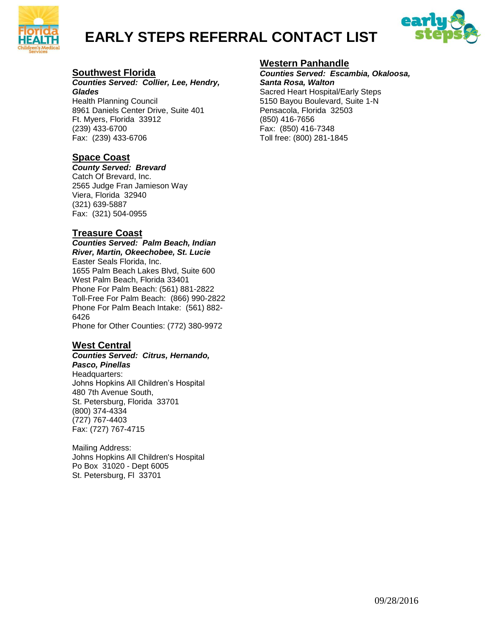

# **EARLY STEPS REFERRAL CONTACT LIST**



#### **Southwest Florida**

#### *Counties Served: Collier, Lee, Hendry, Glades*

Health Planning Council 8961 Daniels Center Drive, Suite 401 Ft. Myers, Florida 33912 (239) 433-6700 Fax: (239) 433-6706

# **Space Coast**

#### *County Served: Brevard*

Catch Of Brevard, Inc. 2565 Judge Fran Jamieson Way Viera, Florida 32940 (321) 639-5887 Fax: (321) 504-0955

#### **Treasure Coast**

#### *Counties Served: Palm Beach, Indian River, Martin, Okeechobee, St. Lucie* Easter Seals Florida, Inc. 1655 Palm Beach Lakes Blvd, Suite 600

West Palm Beach, Florida 33401 Phone For Palm Beach: (561) 881-2822 Toll-Free For Palm Beach: (866) 990-2822 Phone For Palm Beach Intake: (561) 882- 6426

Phone for Other Counties: (772) 380-9972

#### **West Central**

#### *Counties Served: Citrus, Hernando, Pasco, Pinellas*

Headquarters: Johns Hopkins All Children's Hospital 480 7th Avenue South, St. Petersburg, Florida 33701 (800) 374-4334 (727) 767-4403 Fax: (727) 767-4715

Mailing Address: Johns Hopkins All Children's Hospital Po Box 31020 - Dept 6005 St. Petersburg, Fl 33701

#### **Western Panhandle**

*Counties Served: Escambia, Okaloosa, Santa Rosa, Walton* Sacred Heart Hospital/Early Steps 5150 Bayou Boulevard, Suite 1-N Pensacola, Florida 32503 (850) 416-7656 Fax: (850) 416-7348 Toll free: (800) 281-1845